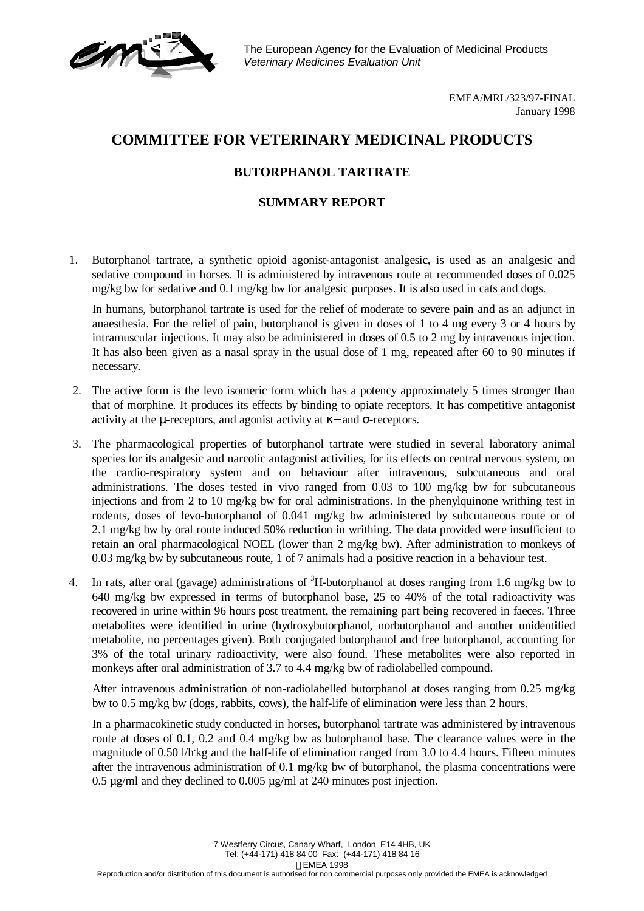The European Agency for the Evaluation of Medicinal Products *Veterinary Medicines Evaluation Unit*

> EMEA/MRL/323/97-FINAL January 1998

## **COMMITTEE FOR VETERINARY MEDICINAL PRODUCTS**

## **BUTORPHANOL TARTRATE**

## **SUMMARY REPORT**

1. Butorphanol tartrate, a synthetic opioid agonist-antagonist analgesic, is used as an analgesic and sedative compound in horses. It is administered by intravenous route at recommended doses of 0.025 mg/kg bw for sedative and 0.1 mg/kg bw for analgesic purposes. It is also used in cats and dogs.

In humans, butorphanol tartrate is used for the relief of moderate to severe pain and as an adjunct in anaesthesia. For the relief of pain, butorphanol is given in doses of 1 to 4 mg every 3 or 4 hours by intramuscular injections. It may also be administered in doses of 0.5 to 2 mg by intravenous injection. It has also been given as a nasal spray in the usual dose of 1 mg, repeated after 60 to 90 minutes if necessary.

- 2. The active form is the levo isomeric form which has a potency approximately 5 times stronger than that of morphine. It produces its effects by binding to opiate receptors. It has competitive antagonist activity at the  $\mu$ -receptors, and agonist activity at  $\kappa$  – and  $\sigma$ -receptors.
- 3. The pharmacological properties of butorphanol tartrate were studied in several laboratory animal species for its analgesic and narcotic antagonist activities, for its effects on central nervous system, on the cardio-respiratory system and on behaviour after intravenous, subcutaneous and oral administrations. The doses tested in vivo ranged from 0.03 to 100 mg/kg bw for subcutaneous injections and from 2 to 10 mg/kg bw for oral administrations. In the phenylquinone writhing test in rodents, doses of levo-butorphanol of 0.041 mg/kg bw administered by subcutaneous route or of 2.1 mg/kg bw by oral route induced 50% reduction in writhing. The data provided were insufficient to retain an oral pharmacological NOEL (lower than 2 mg/kg bw). After administration to monkeys of 0.03 mg/kg bw by subcutaneous route, 1 of 7 animals had a positive reaction in a behaviour test.
- 4. In rats, after oral (gavage) administrations of <sup>3</sup>H-butorphanol at doses ranging from 1.6 mg/kg bw to 640 mg/kg bw expressed in terms of butorphanol base, 25 to 40% of the total radioactivity was recovered in urine within 96 hours post treatment, the remaining part being recovered in faeces. Three metabolites were identified in urine (hydroxybutorphanol, norbutorphanol and another unidentified metabolite, no percentages given). Both conjugated butorphanol and free butorphanol, accounting for 3% of the total urinary radioactivity, were also found. These metabolites were also reported in monkeys after oral administration of 3.7 to 4.4 mg/kg bw of radiolabelled compound.

After intravenous administration of non-radiolabelled butorphanol at doses ranging from 0.25 mg/kg bw to 0.5 mg/kg bw (dogs, rabbits, cows), the half-life of elimination were less than 2 hours.

In a pharmacokinetic study conducted in horses, butorphanol tartrate was administered by intravenous route at doses of 0.1, 0.2 and 0.4 mg/kg bw as butorphanol base. The clearance values were in the magnitude of 0.50 l/h kg and the half-life of elimination ranged from 3.0 to 4.4 hours. Fifteen minutes after the intravenous administration of 0.1 mg/kg bw of butorphanol, the plasma concentrations were 0.5 µg/ml and they declined to 0.005 µg/ml at 240 minutes post injection.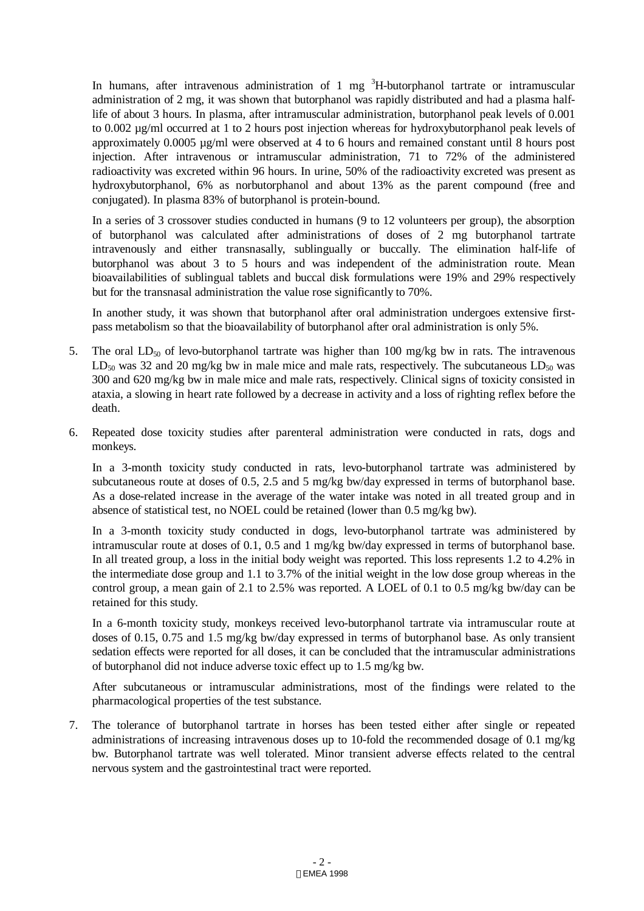In humans, after intravenous administration of 1 mg  ${}^{3}$ H-butorphanol tartrate or intramuscular administration of 2 mg, it was shown that butorphanol was rapidly distributed and had a plasma halflife of about 3 hours. In plasma, after intramuscular administration, butorphanol peak levels of 0.001 to 0.002 µg/ml occurred at 1 to 2 hours post injection whereas for hydroxybutorphanol peak levels of approximately 0.0005 µg/ml were observed at 4 to 6 hours and remained constant until 8 hours post injection. After intravenous or intramuscular administration, 71 to 72% of the administered radioactivity was excreted within 96 hours. In urine, 50% of the radioactivity excreted was present as hydroxybutorphanol, 6% as norbutorphanol and about 13% as the parent compound (free and conjugated). In plasma 83% of butorphanol is protein-bound.

In a series of 3 crossover studies conducted in humans (9 to 12 volunteers per group), the absorption of butorphanol was calculated after administrations of doses of 2 mg butorphanol tartrate intravenously and either transnasally, sublingually or buccally. The elimination half-life of butorphanol was about 3 to 5 hours and was independent of the administration route. Mean bioavailabilities of sublingual tablets and buccal disk formulations were 19% and 29% respectively but for the transnasal administration the value rose significantly to 70%.

In another study, it was shown that butorphanol after oral administration undergoes extensive firstpass metabolism so that the bioavailability of butorphanol after oral administration is only 5%.

- 5. The oral  $LD_{50}$  of levo-butorphanol tartrate was higher than 100 mg/kg bw in rats. The intravenous  $LD_{50}$  was 32 and 20 mg/kg bw in male mice and male rats, respectively. The subcutaneous  $LD_{50}$  was 300 and 620 mg/kg bw in male mice and male rats, respectively. Clinical signs of toxicity consisted in ataxia, a slowing in heart rate followed by a decrease in activity and a loss of righting reflex before the death.
- 6. Repeated dose toxicity studies after parenteral administration were conducted in rats, dogs and monkeys.

In a 3-month toxicity study conducted in rats, levo-butorphanol tartrate was administered by subcutaneous route at doses of 0.5, 2.5 and 5 mg/kg bw/day expressed in terms of butorphanol base. As a dose-related increase in the average of the water intake was noted in all treated group and in absence of statistical test, no NOEL could be retained (lower than 0.5 mg/kg bw).

In a 3-month toxicity study conducted in dogs, levo-butorphanol tartrate was administered by intramuscular route at doses of 0.1, 0.5 and 1 mg/kg bw/day expressed in terms of butorphanol base. In all treated group, a loss in the initial body weight was reported. This loss represents 1.2 to 4.2% in the intermediate dose group and 1.1 to 3.7% of the initial weight in the low dose group whereas in the control group, a mean gain of 2.1 to 2.5% was reported. A LOEL of 0.1 to 0.5 mg/kg bw/day can be retained for this study.

In a 6-month toxicity study, monkeys received levo-butorphanol tartrate via intramuscular route at doses of 0.15, 0.75 and 1.5 mg/kg bw/day expressed in terms of butorphanol base. As only transient sedation effects were reported for all doses, it can be concluded that the intramuscular administrations of butorphanol did not induce adverse toxic effect up to 1.5 mg/kg bw.

After subcutaneous or intramuscular administrations, most of the findings were related to the pharmacological properties of the test substance.

7. The tolerance of butorphanol tartrate in horses has been tested either after single or repeated administrations of increasing intravenous doses up to 10-fold the recommended dosage of 0.1 mg/kg bw. Butorphanol tartrate was well tolerated. Minor transient adverse effects related to the central nervous system and the gastrointestinal tract were reported.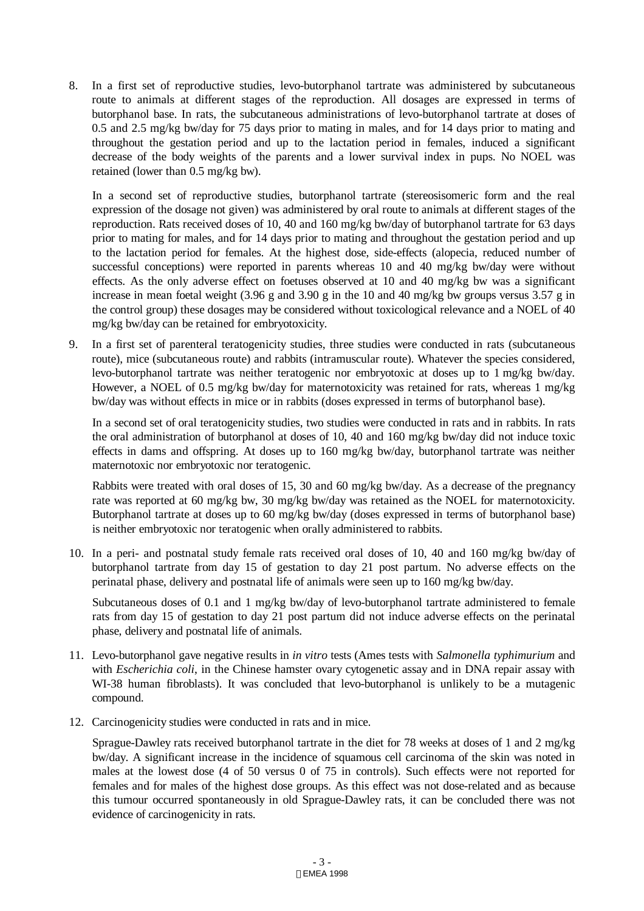8. In a first set of reproductive studies, levo-butorphanol tartrate was administered by subcutaneous route to animals at different stages of the reproduction. All dosages are expressed in terms of butorphanol base. In rats, the subcutaneous administrations of levo-butorphanol tartrate at doses of 0.5 and 2.5 mg/kg bw/day for 75 days prior to mating in males, and for 14 days prior to mating and throughout the gestation period and up to the lactation period in females, induced a significant decrease of the body weights of the parents and a lower survival index in pups. No NOEL was retained (lower than 0.5 mg/kg bw).

In a second set of reproductive studies, butorphanol tartrate (stereosisomeric form and the real expression of the dosage not given) was administered by oral route to animals at different stages of the reproduction. Rats received doses of 10, 40 and 160 mg/kg bw/day of butorphanol tartrate for 63 days prior to mating for males, and for 14 days prior to mating and throughout the gestation period and up to the lactation period for females. At the highest dose, side-effects (alopecia, reduced number of successful conceptions) were reported in parents whereas 10 and 40 mg/kg bw/day were without effects. As the only adverse effect on foetuses observed at 10 and 40 mg/kg bw was a significant increase in mean foetal weight (3.96 g and 3.90 g in the 10 and 40 mg/kg bw groups versus 3.57 g in the control group) these dosages may be considered without toxicological relevance and a NOEL of 40 mg/kg bw/day can be retained for embryotoxicity.

9. In a first set of parenteral teratogenicity studies, three studies were conducted in rats (subcutaneous route), mice (subcutaneous route) and rabbits (intramuscular route). Whatever the species considered, levo-butorphanol tartrate was neither teratogenic nor embryotoxic at doses up to 1 mg/kg bw/day. However, a NOEL of 0.5 mg/kg bw/day for maternotoxicity was retained for rats, whereas 1 mg/kg bw/day was without effects in mice or in rabbits (doses expressed in terms of butorphanol base).

In a second set of oral teratogenicity studies, two studies were conducted in rats and in rabbits. In rats the oral administration of butorphanol at doses of 10, 40 and 160 mg/kg bw/day did not induce toxic effects in dams and offspring. At doses up to 160 mg/kg bw/day, butorphanol tartrate was neither maternotoxic nor embryotoxic nor teratogenic.

Rabbits were treated with oral doses of 15, 30 and 60 mg/kg bw/day. As a decrease of the pregnancy rate was reported at 60 mg/kg bw, 30 mg/kg bw/day was retained as the NOEL for maternotoxicity. Butorphanol tartrate at doses up to 60 mg/kg bw/day (doses expressed in terms of butorphanol base) is neither embryotoxic nor teratogenic when orally administered to rabbits.

10. In a peri- and postnatal study female rats received oral doses of 10, 40 and 160 mg/kg bw/day of butorphanol tartrate from day 15 of gestation to day 21 post partum. No adverse effects on the perinatal phase, delivery and postnatal life of animals were seen up to 160 mg/kg bw/day.

Subcutaneous doses of 0.1 and 1 mg/kg bw/day of levo-butorphanol tartrate administered to female rats from day 15 of gestation to day 21 post partum did not induce adverse effects on the perinatal phase, delivery and postnatal life of animals.

- 11. Levo-butorphanol gave negative results in *in vitro* tests (Ames tests with *Salmonella typhimurium* and with *Escherichia coli*, in the Chinese hamster ovary cytogenetic assay and in DNA repair assay with WI-38 human fibroblasts). It was concluded that levo-butorphanol is unlikely to be a mutagenic compound.
- 12. Carcinogenicity studies were conducted in rats and in mice.

Sprague-Dawley rats received butorphanol tartrate in the diet for 78 weeks at doses of 1 and 2 mg/kg bw/day. A significant increase in the incidence of squamous cell carcinoma of the skin was noted in males at the lowest dose (4 of 50 versus 0 of 75 in controls). Such effects were not reported for females and for males of the highest dose groups. As this effect was not dose-related and as because this tumour occurred spontaneously in old Sprague-Dawley rats, it can be concluded there was not evidence of carcinogenicity in rats.